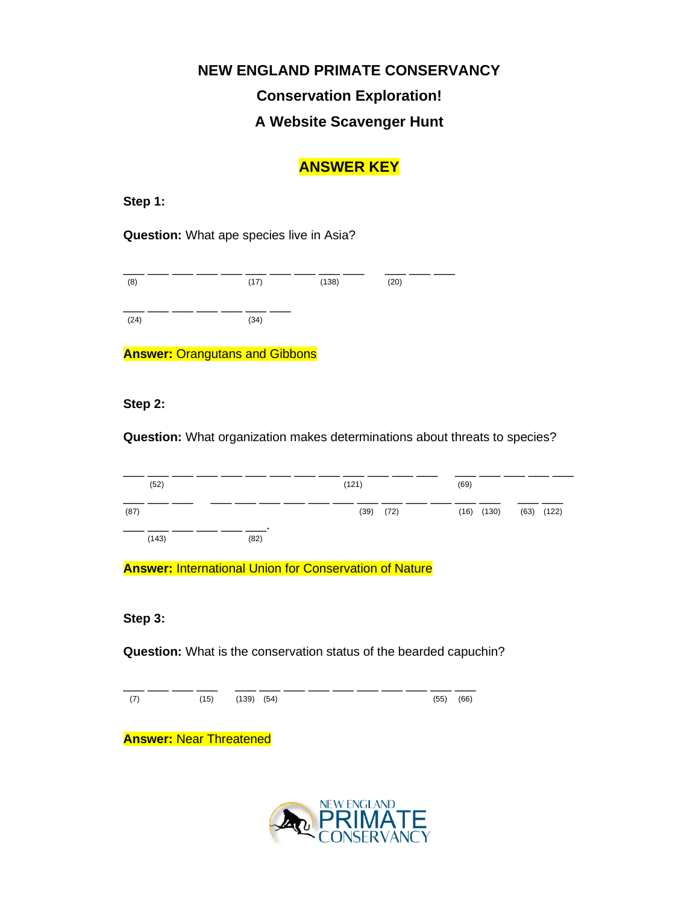# **NEW ENGLAND PRIMATE CONSERVANCY Conservation Exploration! A Website Scavenger Hunt**

# **ANSWER KEY**

**Step 1:**

**Question:** What ape species live in Asia?



**Answer:** Orangutans and Gibbons

### **Step 2:**

**Question:** What organization makes determinations about threats to species?



**Answer:** International Union for Conservation of Nature

#### **Step 3:**

**Question:** What is the conservation status of the bearded capuchin?

\_\_\_ \_\_\_ \_\_\_ \_\_\_ \_\_\_ \_\_\_ \_\_\_ \_\_\_ \_\_\_ \_\_\_ \_\_\_ \_\_\_ \_\_\_ \_\_\_ (7) (15) (139) (54) (55) (66)

**Answer:** Near Threatened

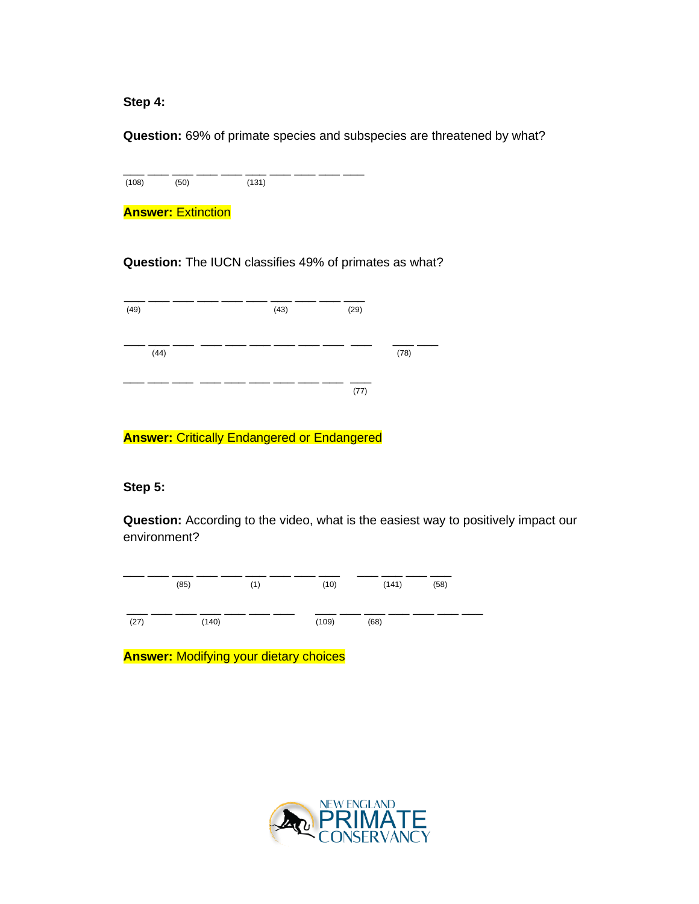**Step 4:** 

**Question:** 69% of primate species and subspecies are threatened by what?

\_\_\_ \_\_\_ \_\_\_ \_\_\_ \_\_\_ \_\_\_ \_\_\_ \_\_\_ \_\_\_ \_\_\_ (108) (50) (131)

**Answer: Extinction** 

**Question:** The IUCN classifies 49% of primates as what?

**Answer:** Critically Endangered or Endangered

**Step 5:** 

**Question:** According to the video, what is the easiest way to positively impact our environment?



**Answer:** Modifying your dietary choices

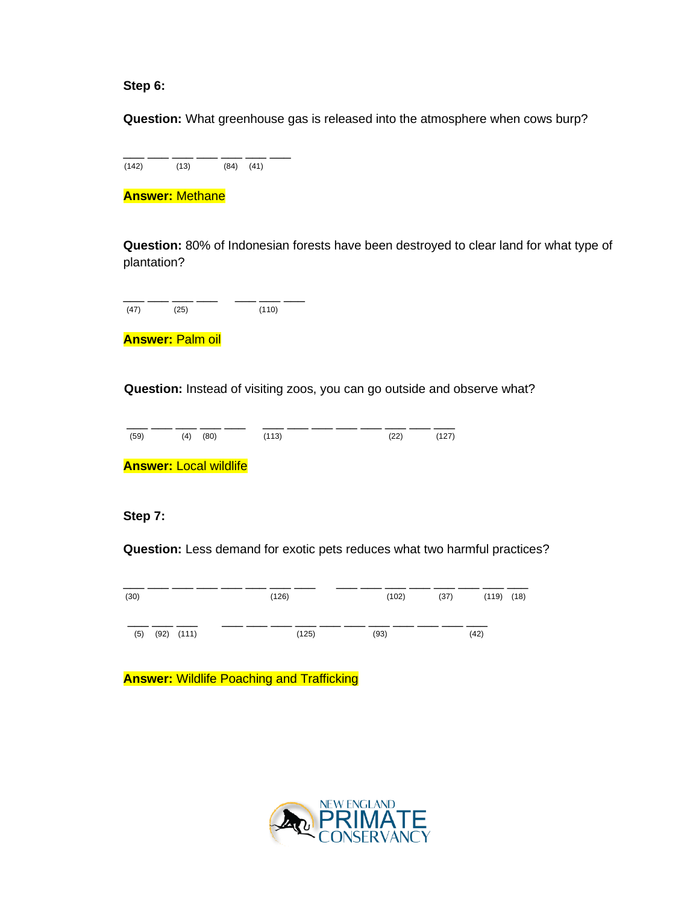#### **Step 6:**

**Question:** What greenhouse gas is released into the atmosphere when cows burp?

\_\_\_\_ \_\_\_ \_\_\_ \_\_\_ \_\_\_ \_\_\_ \_\_\_ \_\_\_  $(142)$   $(13)$   $(84)$   $(41)$ 

**Answer:** Methane

**Question:** 80% of Indonesian forests have been destroyed to clear land for what type of plantation?

\_\_\_ \_\_\_ \_\_\_ \_\_\_ \_\_\_ \_\_\_ \_\_\_ (47) (25) (110)

**Answer:** Palm oil

**Question:** Instead of visiting zoos, you can go outside and observe what?

\_\_\_ \_\_\_ \_\_\_ \_\_\_ \_\_\_ \_\_\_ \_\_\_ \_\_\_ \_\_\_ \_\_\_ \_\_\_ \_\_\_ \_\_\_ (59) (4) (80) (113) (22) (127) **Answer:** Local wildlife

**Step 7:**

**Question:** Less demand for exotic pets reduces what two harmful practices?



**Answer:** Wildlife Poaching and Trafficking

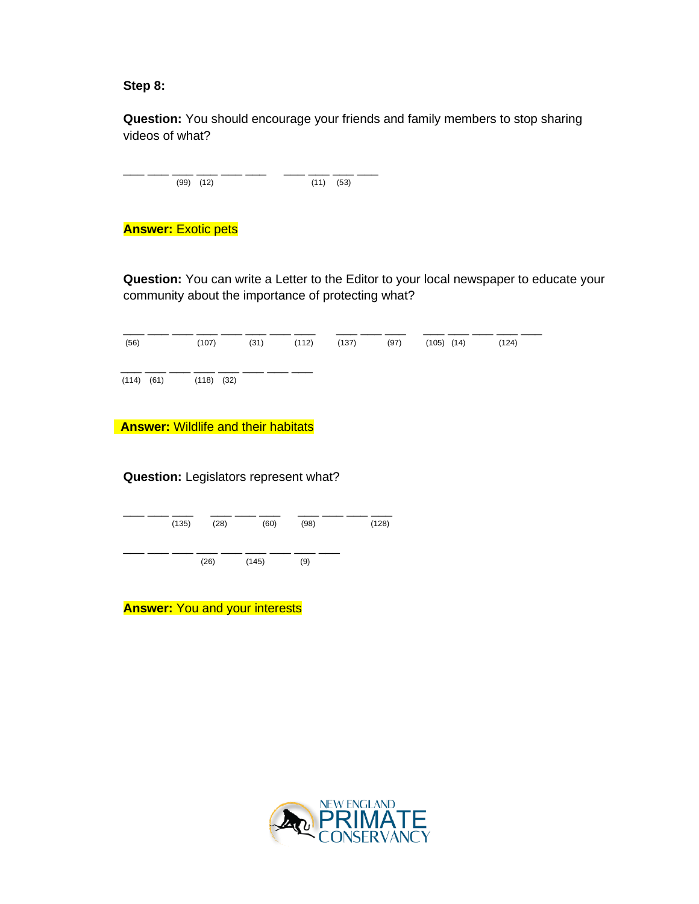#### **Step 8:**

**Question:** You should encourage your friends and family members to stop sharing videos of what?

| $(99)$ $(12)$ | $(11)$ $(53)$ |  |
|---------------|---------------|--|
|               |               |  |

# **Answer:** Exotic pets

**Question:** You can write a Letter to the Editor to your local newspaper to educate your community about the importance of protecting what?

| (56)                          | (107) | $(31)$ $(112)$ | (137) | (97) | $(105)$ $(14)$ | (124) |
|-------------------------------|-------|----------------|-------|------|----------------|-------|
| $(114)$ $(61)$ $(118)$ $(32)$ |       |                |       |      |                |       |

**Answer:** Wildlife and their habitats

### **Question:** Legislators represent what?



**Answer:** You and your interests

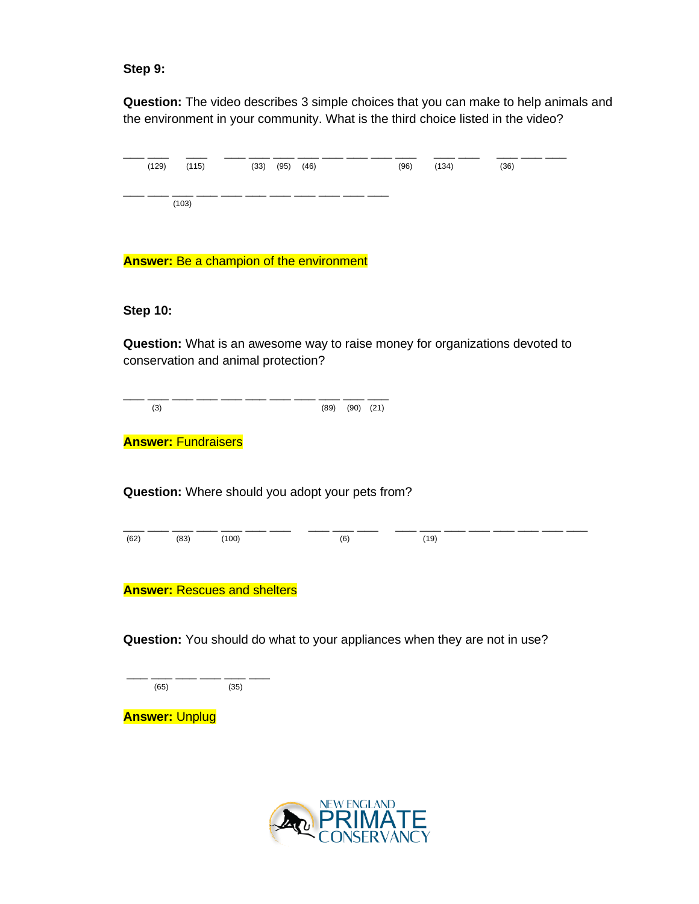#### **Step 9:**

**Question:** The video describes 3 simple choices that you can make to help animals and the environment in your community. What is the third choice listed in the video?

| (129) | $(115)$ $(33)$ $(95)$ $(46)$ |  |  | (96) | (134) | (36) |  |
|-------|------------------------------|--|--|------|-------|------|--|
|       | (103)                        |  |  |      |       |      |  |

**Answer:** Be a champion of the environment

#### **Step 10:**

**Question:** What is an awesome way to raise money for organizations devoted to conservation and animal protection?

\_\_\_ \_\_\_ \_\_\_ \_\_\_ \_\_\_ \_\_\_ \_\_\_ \_\_\_ \_\_\_ \_\_\_ \_\_\_ (3) (89) (90) (21)

**Answer:** Fundraisers

**Question:** Where should you adopt your pets from?

\_\_\_ \_\_\_ \_\_\_ \_\_\_ \_\_\_ \_\_\_ \_\_\_ \_\_\_ \_\_\_ \_\_\_ \_\_\_ \_\_\_ \_\_\_ \_\_\_ \_\_\_ \_\_\_ \_\_\_ \_\_\_ (62) (83) (100) (6) (19)

**Answer:** Rescues and shelters

**Question:** You should do what to your appliances when they are not in use?

\_\_\_\_ \_\_\_ \_\_\_ \_\_\_ \_\_\_ \_\_\_ \_\_\_ \_\_\_ (65) (35)

**Answer:** Unplug

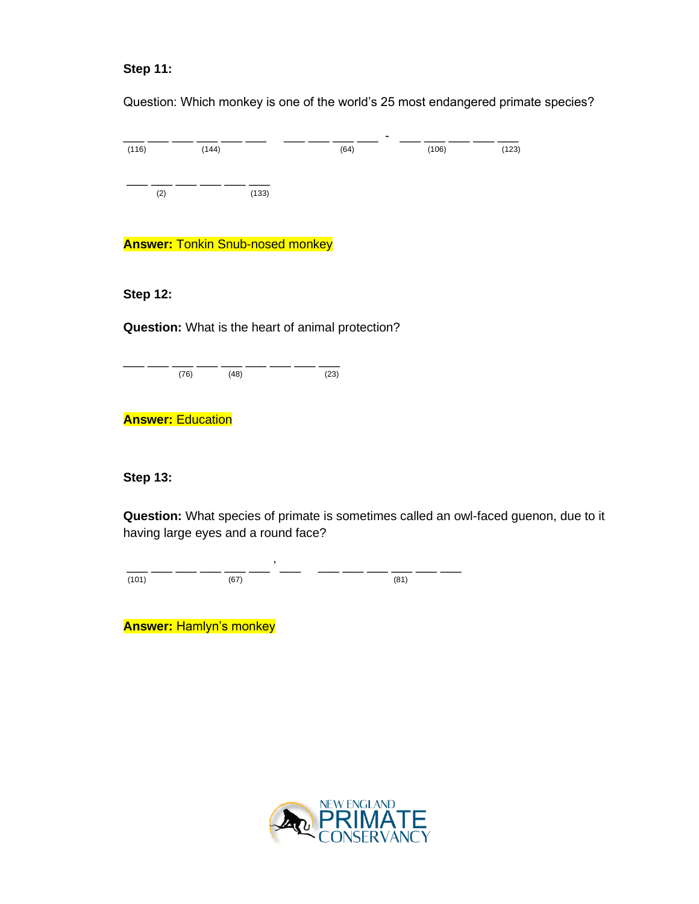# **Step 11:**

Question: Which monkey is one of the world's 25 most endangered primate species?

|       |       |       | $\,$ |       |       |
|-------|-------|-------|------|-------|-------|
| (116) | (144) |       | (64) | (106) | (123) |
|       |       |       |      |       |       |
|       |       |       |      |       |       |
| (2)   |       | (133) |      |       |       |
|       |       |       |      |       |       |

**Answer:** Tonkin Snub-nosed monkey

#### **Step 12:**

**Question:** What is the heart of animal protection?

\_\_\_ \_\_\_ \_\_\_ \_\_\_ \_\_\_ \_\_\_ \_\_\_ \_\_\_ \_\_\_ (76) (48) (23)

**Answer:** Education

**Step 13:**

**Question:** What species of primate is sometimes called an owl-faced guenon, due to it having large eyes and a round face?

\_\_\_ \_\_\_ \_\_\_ \_\_\_ \_\_\_ \_\_\_ ' \_\_\_ \_\_\_ \_\_\_ \_\_\_ \_\_\_ \_\_\_ \_\_\_  $(101)$  (67) (81)

**Answer:** Hamlyn's monkey

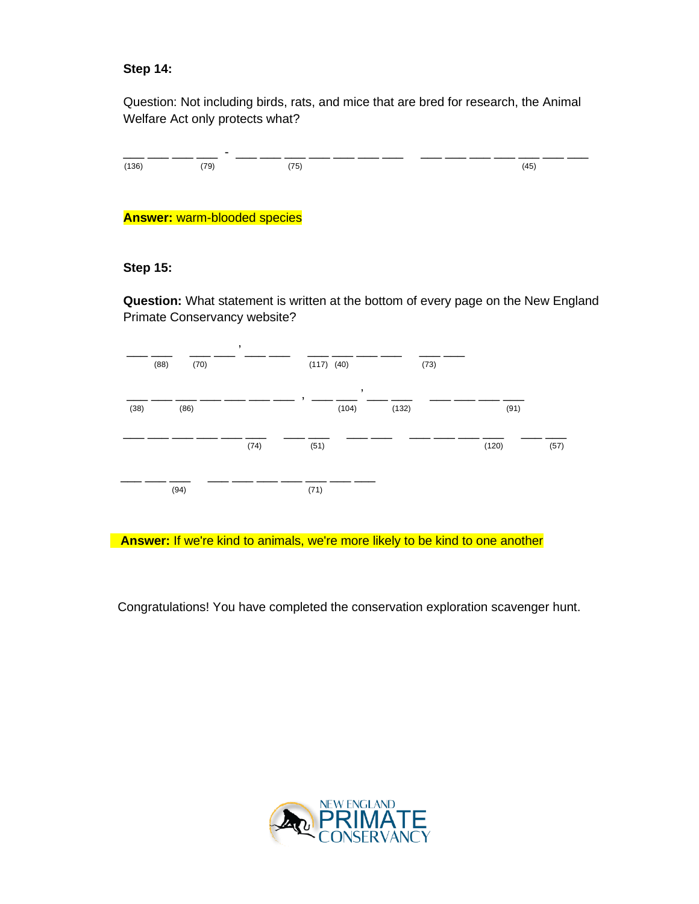## **Step 14:**

Question: Not including birds, rats, and mice that are bred for research, the Animal Welfare Act only protects what?

|       | $\overline{\phantom{a}}$ |      |      |
|-------|--------------------------|------|------|
| (136) | (79)                     | (75) | (45) |
|       |                          |      |      |

**Answer:** warm-blooded species

#### **Step 15:**

**Question:** What statement is written at the bottom of every page on the New England Primate Conservancy website?



**Answer:** If we're kind to animals, we're more likely to be kind to one another

Congratulations! You have completed the conservation exploration scavenger hunt.